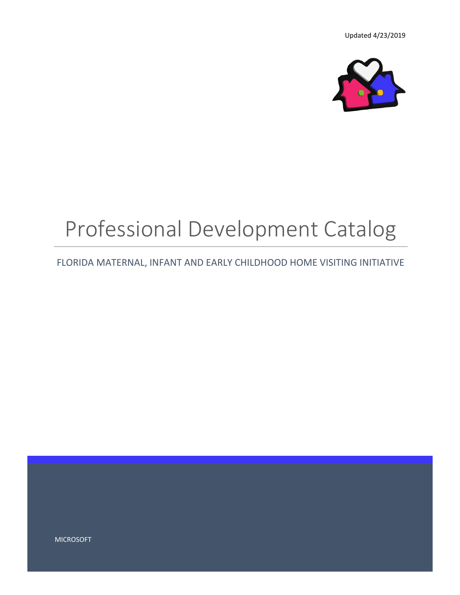

# Professional Development Catalog

FLORIDA MATERNAL, INFANT AND EARLY CHILDHOOD HOME VISITING INITIATIVE

MICROSOFT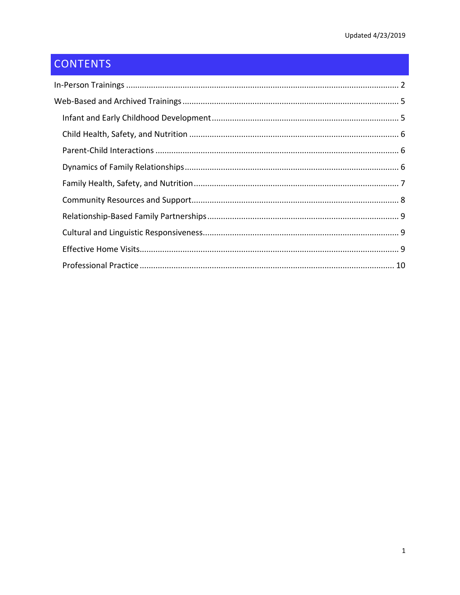# **CONTENTS**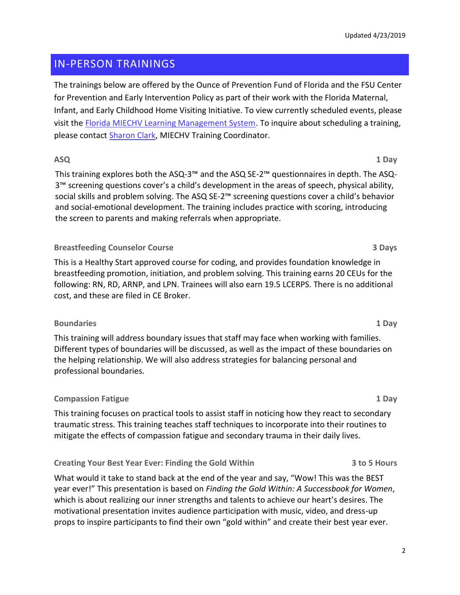# <span id="page-2-0"></span>IN-PERSON TRAININGS

The trainings below are offered by the Ounce of Prevention Fund of Florida and the FSU Center for Prevention and Early Intervention Policy as part of their work with the Florida Maternal, Infant, and Early Childhood Home Visiting Initiative. To view currently scheduled events, please visit the [Florida MIECHV Learning Management System.](http://ounce.org/miechv/) To inquire about scheduling a training, please contact [Sharon Clark,](mailto:sclark@ounce.org) MIECHV Training Coordinator.

#### **ASQ 1 Day**

This training explores both the ASQ-3™ and the ASQ SE-2™ questionnaires in depth. The ASQ-3™ screening questions cover's a child's development in the areas of speech, physical ability, social skills and problem solving. The ASQ SE-2™ screening questions cover a child's behavior and social-emotional development. The training includes practice with scoring, introducing the screen to parents and making referrals when appropriate.

#### **Breastfeeding Counselor Course 3 Days**

This is a Healthy Start approved course for coding, and provides foundation knowledge in breastfeeding promotion, initiation, and problem solving. This training earns 20 CEUs for the following: RN, RD, ARNP, and LPN. Trainees will also earn 19.5 LCERPS. There is no additional cost, and these are filed in CE Broker.

#### **Boundaries 1 Day**

This training will address boundary issues that staff may face when working with families. Different types of boundaries will be discussed, as well as the impact of these boundaries on the helping relationship. We will also address strategies for balancing personal and professional boundaries.

# **Compassion Fatigue 1 Day**

This training focuses on practical tools to assist staff in noticing how they react to secondary traumatic stress. This training teaches staff techniques to incorporate into their routines to mitigate the effects of compassion fatigue and secondary trauma in their daily lives.

# **Creating Your Best Year Ever: Finding the Gold Within 3 to 5 Hours**

What would it take to stand back at the end of the year and say, "Wow! This was the BEST year ever!" This presentation is based on *Finding the Gold Within: A Successbook for Women*, which is about realizing our inner strengths and talents to achieve our heart's desires. The motivational presentation invites audience participation with music, video, and dress-up props to inspire participants to find their own "gold within" and create their best year ever.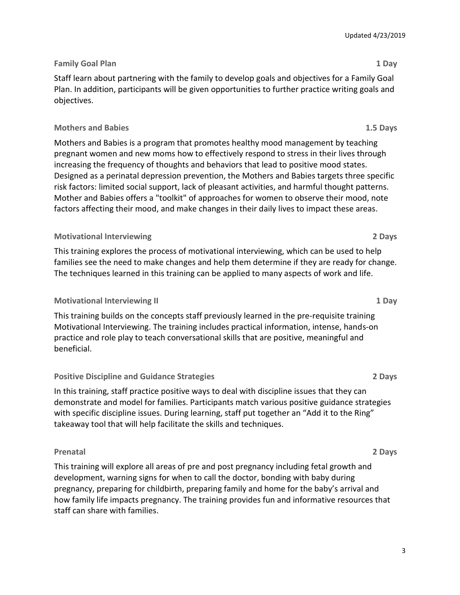# **Family Goal Plan 1 Day**

Staff learn about partnering with the family to develop goals and objectives for a Family Goal Plan. In addition, participants will be given opportunities to further practice writing goals and objectives.

#### **Mothers and Babies 1.5 Days**

Mothers and Babies is a program that promotes healthy mood management by teaching pregnant women and new moms how to effectively respond to stress in their lives through increasing the frequency of thoughts and behaviors that lead to positive mood states. Designed as a perinatal depression prevention, the Mothers and Babies targets three specific risk factors: limited social support, lack of pleasant activities, and harmful thought patterns. Mother and Babies offers a "toolkit" of approaches for women to observe their mood, note factors affecting their mood, and make changes in their daily lives to impact these areas.

#### **Motivational Interviewing 2 Days**

This training explores the process of motivational interviewing, which can be used to help families see the need to make changes and help them determine if they are ready for change. The techniques learned in this training can be applied to many aspects of work and life.

#### **Motivational Interviewing II 1 Day**

This training builds on the concepts staff previously learned in the pre-requisite training Motivational Interviewing. The training includes practical information, intense, hands-on practice and role play to teach conversational skills that are positive, meaningful and beneficial.

# **Positive Discipline and Guidance Strategies 2 Days**

In this training, staff practice positive ways to deal with discipline issues that they can demonstrate and model for families. Participants match various positive guidance strategies with specific discipline issues. During learning, staff put together an "Add it to the Ring" takeaway tool that will help facilitate the skills and techniques.

#### **Prenatal 2 Days**

This training will explore all areas of pre and post pregnancy including fetal growth and development, warning signs for when to call the doctor, bonding with baby during pregnancy, preparing for childbirth, preparing family and home for the baby's arrival and how family life impacts pregnancy. The training provides fun and informative resources that staff can share with families.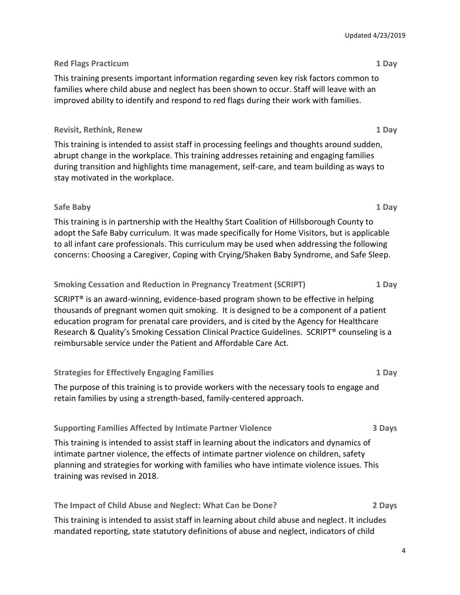#### **Red Flags Practicum 1 Day**

This training presents important information regarding seven key risk factors common to families where child abuse and neglect has been shown to occur. Staff will leave with an improved ability to identify and respond to red flags during their work with families.

#### **Revisit, Rethink, Renew 1 Day**

This training is intended to assist staff in processing feelings and thoughts around sudden, abrupt change in the workplace. This training addresses retaining and engaging families during transition and highlights time management, self-care, and team building as ways to stay motivated in the workplace.

#### **Safe Baby 1 Day**

This training is in partnership with the Healthy Start Coalition of Hillsborough County to adopt the Safe Baby curriculum. It was made specifically for Home Visitors, but is applicable to all infant care professionals. This curriculum may be used when addressing the following concerns: Choosing a Caregiver, Coping with Crying/Shaken Baby Syndrome, and Safe Sleep.

#### **Smoking Cessation and Reduction in Pregnancy Treatment (SCRIPT) 1 Day**

SCRIPT® is an award-winning, evidence-based program shown to be effective in helping thousands of pregnant women quit smoking. It is designed to be a component of a patient education program for prenatal care providers, and is cited by the Agency for Healthcare Research & Quality's Smoking Cessation Clinical Practice Guidelines. SCRIPT® counseling is a reimbursable service under the Patient and Affordable Care Act.

# **Strategies for Effectively Engaging Families 1 Day**

The purpose of this training is to provide workers with the necessary tools to engage and retain families by using a strength-based, family-centered approach.

#### **Supporting Families Affected by Intimate Partner Violence 3 Days**

This training is intended to assist staff in learning about the indicators and dynamics of intimate partner violence, the effects of intimate partner violence on children, safety planning and strategies for working with families who have intimate violence issues. This training was revised in 2018.

# **The Impact of Child Abuse and Neglect: What Can be Done? 2 Days**

This training is intended to assist staff in learning about child abuse and neglect. It includes mandated reporting, state statutory definitions of abuse and neglect, indicators of child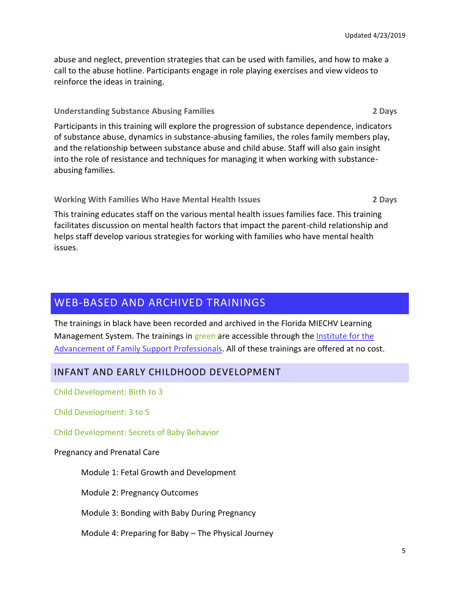abuse and neglect, prevention strategies that can be used with families, and how to make a call to the abuse hotline. Participants engage in role playing exercises and view videos to reinforce the ideas in training.

#### **Understanding Substance Abusing Families 2 Days**

Participants in this training will explore the progression of substance dependence, indicators of substance abuse, dynamics in substance-abusing families, the roles family members play, and the relationship between substance abuse and child abuse. Staff will also gain insight into the role of resistance and techniques for managing it when working with substanceabusing families.

**Working With Families Who Have Mental Health Issues 2 Days**

This training educates staff on the various mental health issues families face. This training facilitates discussion on mental health factors that impact the parent-child relationship and helps staff develop various strategies for working with families who have mental health issues.

# <span id="page-5-0"></span>WEB-BASED AND ARCHIVED TRAININGS

The trainings in black have been recorded and archived in the Florida MIECHV Learning Management System. The trainings in green are accessible through the Institute for the [Advancement of Family Support Professionals.](https://institutefsp.org/) All of these trainings are offered at no cost.

# <span id="page-5-1"></span>INFANT AND EARLY CHILDHOOD DEVELOPMENT

Child Development: Birth to 3

Child Development: 3 to 5

Child Development: Secrets of Baby Behavior

Pregnancy and Prenatal Care

Module 1: Fetal Growth and Development

Module 2: Pregnancy Outcomes

Module 3: Bonding with Baby During Pregnancy

Module 4: Preparing for Baby – The Physical Journey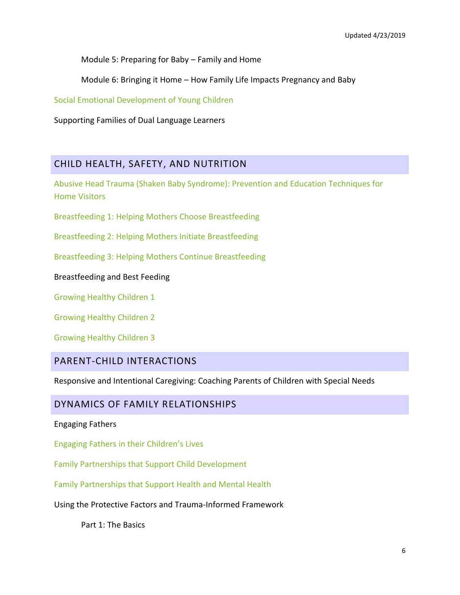Module 5: Preparing for Baby – Family and Home

Module 6: Bringing it Home – How Family Life Impacts Pregnancy and Baby

Social Emotional Development of Young Children

Supporting Families of Dual Language Learners

# <span id="page-6-0"></span>CHILD HEALTH, SAFETY, AND NUTRITION

Abusive Head Trauma (Shaken Baby Syndrome): Prevention and Education Techniques for Home Visitors

Breastfeeding 1: Helping Mothers Choose Breastfeeding

Breastfeeding 2: Helping Mothers Initiate Breastfeeding

Breastfeeding 3: Helping Mothers Continue Breastfeeding

#### Breastfeeding and Best Feeding

Growing Healthy Children 1

Growing Healthy Children 2

Growing Healthy Children 3

# <span id="page-6-1"></span>PARENT-CHILD INTERACTIONS

Responsive and Intentional Caregiving: Coaching Parents of Children with Special Needs

# <span id="page-6-2"></span>DYNAMICS OF FAMILY RELATIONSHIPS

#### Engaging Fathers

Engaging Fathers in their Children's Lives

Family Partnerships that Support Child Development

Family Partnerships that Support Health and Mental Health

Using the Protective Factors and Trauma-Informed Framework

Part 1: The Basics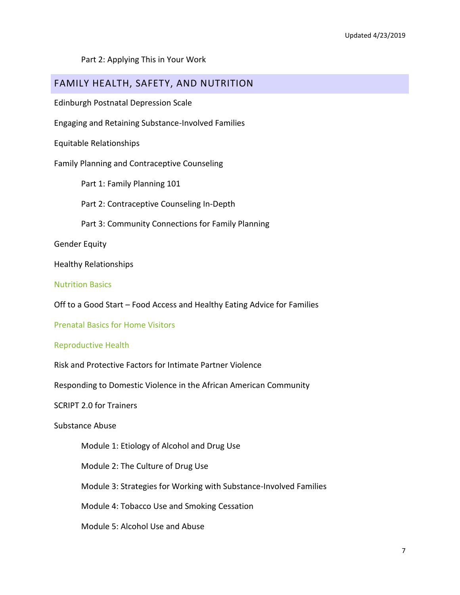Part 2: Applying This in Your Work

# <span id="page-7-0"></span>FAMILY HEALTH, SAFETY, AND NUTRITION

Edinburgh Postnatal Depression Scale

Engaging and Retaining Substance-Involved Families

Equitable Relationships

Family Planning and Contraceptive Counseling

Part 1: Family Planning 101

Part 2: Contraceptive Counseling In-Depth

Part 3: Community Connections for Family Planning

Gender Equity

Healthy Relationships

Nutrition Basics

Off to a Good Start – Food Access and Healthy Eating Advice for Families

Prenatal Basics for Home Visitors

#### Reproductive Health

Risk and Protective Factors for Intimate Partner Violence

Responding to Domestic Violence in the African American Community

SCRIPT 2.0 for Trainers

Substance Abuse

Module 1: Etiology of Alcohol and Drug Use

Module 2: The Culture of Drug Use

Module 3: Strategies for Working with Substance-Involved Families

Module 4: Tobacco Use and Smoking Cessation

Module 5: Alcohol Use and Abuse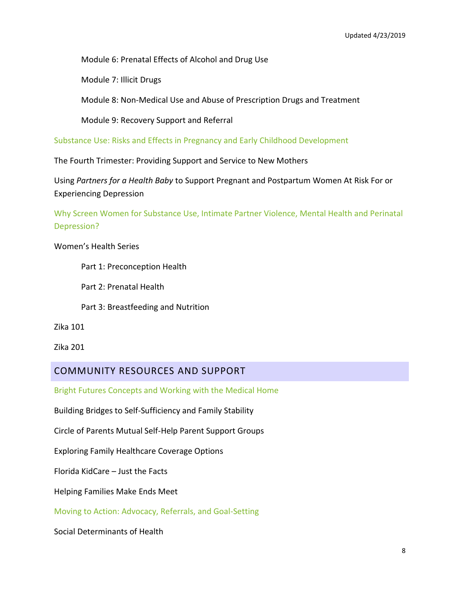Module 6: Prenatal Effects of Alcohol and Drug Use

Module 7: Illicit Drugs

Module 8: Non-Medical Use and Abuse of Prescription Drugs and Treatment

Module 9: Recovery Support and Referral

Substance Use: Risks and Effects in Pregnancy and Early Childhood Development

The Fourth Trimester: Providing Support and Service to New Mothers

Using *Partners for a Health Baby* to Support Pregnant and Postpartum Women At Risk For or Experiencing Depression

Why Screen Women for Substance Use, Intimate Partner Violence, Mental Health and Perinatal Depression?

Women's Health Series

Part 1: Preconception Health

Part 2: Prenatal Health

Part 3: Breastfeeding and Nutrition

Zika 101

Zika 201

# <span id="page-8-0"></span>COMMUNITY RESOURCES AND SUPPORT

Bright Futures Concepts and Working with the Medical Home

Building Bridges to Self-Sufficiency and Family Stability

Circle of Parents Mutual Self-Help Parent Support Groups

Exploring Family Healthcare Coverage Options

Florida KidCare – Just the Facts

Helping Families Make Ends Meet

Moving to Action: Advocacy, Referrals, and Goal-Setting

Social Determinants of Health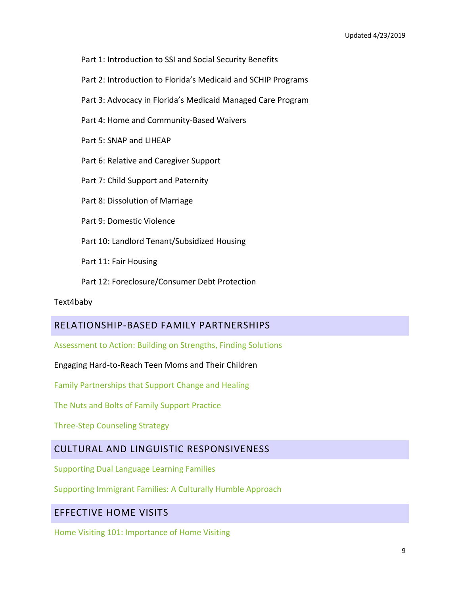- Part 1: Introduction to SSI and Social Security Benefits
- Part 2: Introduction to Florida's Medicaid and SCHIP Programs
- Part 3: Advocacy in Florida's Medicaid Managed Care Program
- Part 4: Home and Community-Based Waivers
- Part 5: SNAP and LIHEAP
- Part 6: Relative and Caregiver Support
- Part 7: Child Support and Paternity
- Part 8: Dissolution of Marriage
- Part 9: Domestic Violence
- Part 10: Landlord Tenant/Subsidized Housing
- Part 11: Fair Housing
- Part 12: Foreclosure/Consumer Debt Protection

#### Text4baby

# <span id="page-9-0"></span>RELATIONSHIP-BASED FAMILY PARTNERSHIPS

Assessment to Action: Building on Strengths, Finding Solutions

Engaging Hard-to-Reach Teen Moms and Their Children

Family Partnerships that Support Change and Healing

The Nuts and Bolts of Family Support Practice

Three-Step Counseling Strategy

# <span id="page-9-1"></span>CULTURAL AND LINGUISTIC RESPONSIVENESS

Supporting Dual Language Learning Families

Supporting Immigrant Families: A Culturally Humble Approach

# <span id="page-9-2"></span>EFFECTIVE HOME VISITS

Home Visiting 101: Importance of Home Visiting